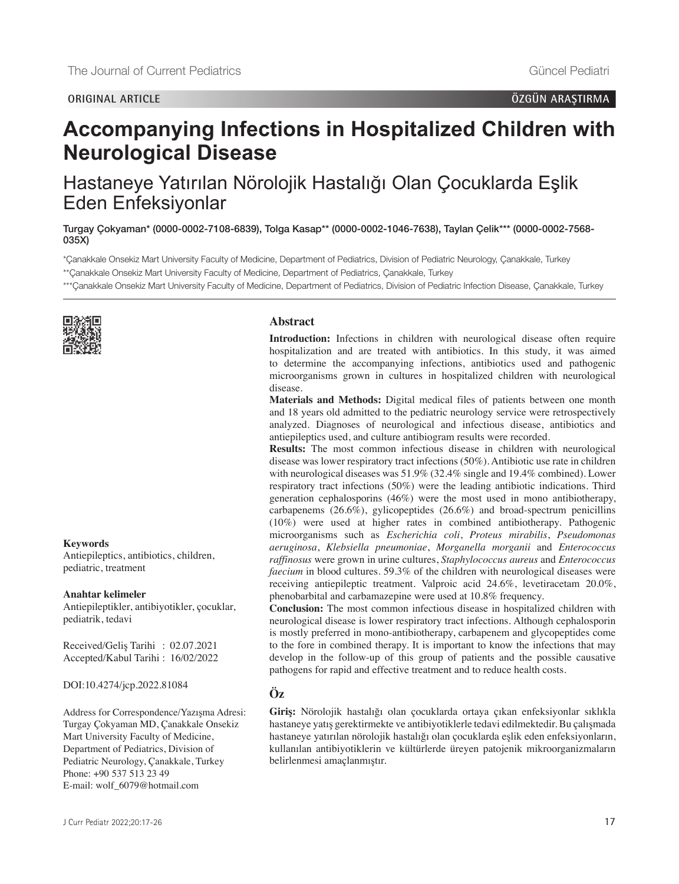# **Accompanying Infections in Hospitalized Children with Neurological Disease**

Hastaneye Yatırılan Nörolojik Hastalığı Olan Çocuklarda Eşlik Eden Enfeksiyonlar

Turgay Çokyaman\* [\(0000-0002-7108-6839\)](https://orcid.org/0000-0002-7108-6839), Tolga Kasap\*\* [\(0000-0002-1046-7638\)](https://orcid.org/0000-0002-1046-7638), Taylan Çelik\*\*\* [\(0000-0002-7568-](https://orcid.org/0000-0002-7568-035X) [035X\)](https://orcid.org/0000-0002-7568-035X)

\*Çanakkale Onsekiz Mart University Faculty of Medicine, Department of Pediatrics, Division of Pediatric Neurology, Çanakkale, Turkey

\*\*Çanakkale Onsekiz Mart University Faculty of Medicine, Department of Pediatrics, Çanakkale, Turkey

\*\*\*Çanakkale Onsekiz Mart University Faculty of Medicine, Department of Pediatrics, Division of Pediatric Infection Disease, Çanakkale, Turkey



## **Keywords**

Antiepileptics, antibiotics, children, pediatric, treatment

#### **Anahtar kelimeler**

Antiepileptikler, antibiyotikler, çocuklar, pediatrik, tedavi

Received/Geliş Tarihi : 02.07.2021 Accepted/Kabul Tarihi : 16/02/2022

DOI:10.4274/jcp.2022.81084

Address for Correspondence/Yazışma Adresi: Turgay Çokyaman MD, Çanakkale Onsekiz Mart University Faculty of Medicine, Department of Pediatrics, Division of Pediatric Neurology, Çanakkale, Turkey Phone: +90 537 513 23 49 E-mail: wolf\_6079@hotmail.com

#### **Abstract**

**Introduction:** Infections in children with neurological disease often require hospitalization and are treated with antibiotics. In this study, it was aimed to determine the accompanying infections, antibiotics used and pathogenic microorganisms grown in cultures in hospitalized children with neurological disease.

**Materials and Methods:** Digital medical files of patients between one month and 18 years old admitted to the pediatric neurology service were retrospectively analyzed. Diagnoses of neurological and infectious disease, antibiotics and antiepileptics used, and culture antibiogram results were recorded.

**Results:** The most common infectious disease in children with neurological disease was lower respiratory tract infections (50%). Antibiotic use rate in children with neurological diseases was 51.9% (32.4% single and 19.4% combined). Lower respiratory tract infections (50%) were the leading antibiotic indications. Third generation cephalosporins  $(46%)$  were the most used in mono antibiotherapy, carbapenems (26.6%), gylicopeptides (26.6%) and broad-spectrum penicillins (10%) were used at higher rates in combined antibiotherapy. Pathogenic microorganisms such as *Escherichia coli*, *Proteus mirabilis*, *Pseudomonas aeruginosa*, *Klebsiella pneumoniae*, *Morganella morganii* and *Enterococcus raffinosus* were grown in urine cultures, *Staphylococcus aureus* and *Enterococcus faecium* in blood cultures. 59.3% of the children with neurological diseases were receiving antiepileptic treatment. Valproic acid 24.6%, levetiracetam 20.0%, phenobarbital and carbamazepine were used at 10.8% frequency.

**Conclusion:** The most common infectious disease in hospitalized children with neurological disease is lower respiratory tract infections. Although cephalosporin is mostly preferred in mono-antibiotherapy, carbapenem and glycopeptides come to the fore in combined therapy. It is important to know the infections that may develop in the follow-up of this group of patients and the possible causative pathogens for rapid and effective treatment and to reduce health costs.

# **Öz**

**Giriş:** Nörolojik hastalığı olan çocuklarda ortaya çıkan enfeksiyonlar sıklıkla hastaneye yatış gerektirmekte ve antibiyotiklerle tedavi edilmektedir. Bu çalışmada hastaneye yatırılan nörolojik hastalığı olan çocuklarda eşlik eden enfeksiyonların, kullanılan antibiyotiklerin ve kültürlerde üreyen patojenik mikroorganizmaların belirlenmesi amaçlanmıştır.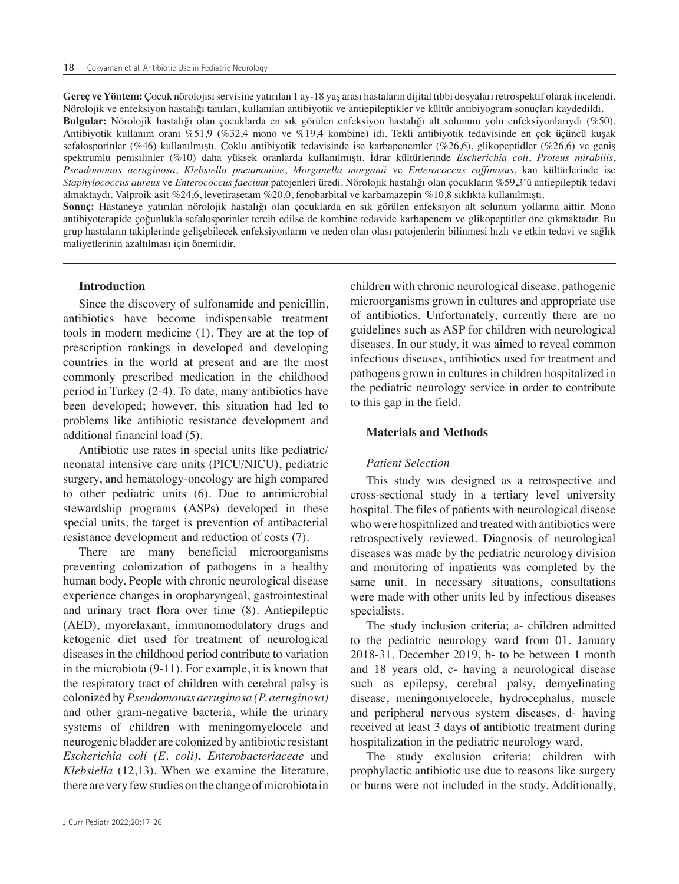**Gereç ve Yöntem:** Çocuk nörolojisi servisine yatırılan 1 ay-18 yaş arası hastaların dijital tıbbi dosyaları retrospektif olarak incelendi. Nörolojik ve enfeksiyon hastalığı tanıları, kullanılan antibiyotik ve antiepileptikler ve kültür antibiyogram sonuçları kaydedildi. **Bulgular:** Nörolojik hastalığı olan çocuklarda en sık görülen enfeksiyon hastalığı alt solunum yolu enfeksiyonlarıydı (%50). Antibiyotik kullanım oranı %51,9 (%32,4 mono ve %19,4 kombine) idi. Tekli antibiyotik tedavisinde en çok üçüncü kuşak sefalosporinler (%46) kullanılmıştı. Çoklu antibiyotik tedavisinde ise karbapenemler (%26,6), glikopeptidler (%26,6) ve geniş spektrumlu penisilinler (%10) daha yüksek oranlarda kullanılmıştı. İdrar kültürlerinde *Escherichia coli*, *Proteus mirabilis*, *Pseudomonas aeruginosa*, *Klebsiella pneumoniae*, *Morganella morganii* ve *Enterococcus raffinosus*, kan kültürlerinde ise *Staphylococcus aureus* ve *Enterococcus faecium* patojenleri üredi. Nörolojik hastalığı olan çocukların %59,3'ü antiepileptik tedavi almaktaydı. Valproik asit %24,6, levetirasetam %20,0, fenobarbital ve karbamazepin %10,8 sıklıkta kullanılmıştı. **Sonuç:** Hastaneye yatırılan nörolojik hastalığı olan çocuklarda en sık görülen enfeksiyon alt solunum yollarına aittir. Mono antibiyoterapide çoğunlukla sefalosporinler tercih edilse de kombine tedavide karbapenem ve glikopeptitler öne çıkmaktadır. Bu grup hastaların takiplerinde gelişebilecek enfeksiyonların ve neden olan olası patojenlerin bilinmesi hızlı ve etkin tedavi ve sağlık maliyetlerinin azaltılması için önemlidir.

## **Introduction**

Since the discovery of sulfonamide and penicillin, antibiotics have become indispensable treatment tools in modern medicine (1). They are at the top of prescription rankings in developed and developing countries in the world at present and are the most commonly prescribed medication in the childhood period in Turkey (2-4). To date, many antibiotics have been developed; however, this situation had led to problems like antibiotic resistance development and additional financial load (5).

Antibiotic use rates in special units like pediatric/ neonatal intensive care units (PICU/NICU), pediatric surgery, and hematology-oncology are high compared to other pediatric units (6). Due to antimicrobial stewardship programs (ASPs) developed in these special units, the target is prevention of antibacterial resistance development and reduction of costs (7).

There are many beneficial microorganisms preventing colonization of pathogens in a healthy human body. People with chronic neurological disease experience changes in oropharyngeal, gastrointestinal and urinary tract flora over time (8). Antiepileptic (AED), myorelaxant, immunomodulatory drugs and ketogenic diet used for treatment of neurological diseases in the childhood period contribute to variation in the microbiota (9-11). For example, it is known that the respiratory tract of children with cerebral palsy is colonized by *Pseudomonas aeruginosa (P. aeruginosa)* and other gram-negative bacteria, while the urinary systems of children with meningomyelocele and neurogenic bladder are colonized by antibiotic resistant *Escherichia coli (E. coli)*, *Enterobacteriaceae* and *Klebsiella* (12,13). When we examine the literature, there are very few studies on the change of microbiota in

children with chronic neurological disease, pathogenic microorganisms grown in cultures and appropriate use of antibiotics. Unfortunately, currently there are no guidelines such as ASP for children with neurological diseases. In our study, it was aimed to reveal common infectious diseases, antibiotics used for treatment and pathogens grown in cultures in children hospitalized in the pediatric neurology service in order to contribute to this gap in the field.

#### **Materials and Methods**

## *Patient Selection*

This study was designed as a retrospective and cross-sectional study in a tertiary level university hospital. The files of patients with neurological disease who were hospitalized and treated with antibiotics were retrospectively reviewed. Diagnosis of neurological diseases was made by the pediatric neurology division and monitoring of inpatients was completed by the same unit. In necessary situations, consultations were made with other units led by infectious diseases specialists.

The study inclusion criteria; a- children admitted to the pediatric neurology ward from 01. January 2018-31. December 2019, b- to be between 1 month and 18 years old, c- having a neurological disease such as epilepsy, cerebral palsy, demyelinating disease, meningomyelocele, hydrocephalus, muscle and peripheral nervous system diseases, d- having received at least 3 days of antibiotic treatment during hospitalization in the pediatric neurology ward.

The study exclusion criteria; children with prophylactic antibiotic use due to reasons like surgery or burns were not included in the study. Additionally,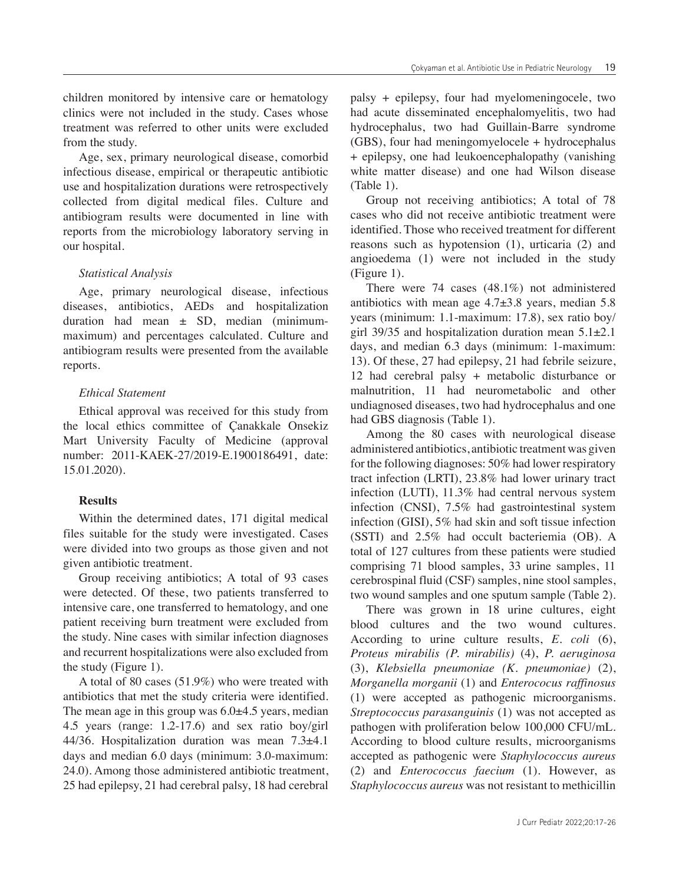children monitored by intensive care or hematology clinics were not included in the study. Cases whose treatment was referred to other units were excluded from the study.

Age, sex, primary neurological disease, comorbid infectious disease, empirical or therapeutic antibiotic use and hospitalization durations were retrospectively collected from digital medical files. Culture and antibiogram results were documented in line with reports from the microbiology laboratory serving in our hospital.

## *Statistical Analysis*

Age, primary neurological disease, infectious diseases, antibiotics, AEDs and hospitalization duration had mean  $\pm$  SD, median (minimummaximum) and percentages calculated. Culture and antibiogram results were presented from the available reports.

## *Ethical Statement*

Ethical approval was received for this study from the local ethics committee of Çanakkale Onsekiz Mart University Faculty of Medicine (approval number: 2011-KAEK-27/2019-E.1900186491, date: 15.01.2020).

# **Results**

Within the determined dates, 171 digital medical files suitable for the study were investigated. Cases were divided into two groups as those given and not given antibiotic treatment.

Group receiving antibiotics; A total of 93 cases were detected. Of these, two patients transferred to intensive care, one transferred to hematology, and one patient receiving burn treatment were excluded from the study. Nine cases with similar infection diagnoses and recurrent hospitalizations were also excluded from the study (Figure 1).

A total of 80 cases (51.9%) who were treated with antibiotics that met the study criteria were identified. The mean age in this group was  $6.0\pm4.5$  years, median 4.5 years (range: 1.2-17.6) and sex ratio boy/girl 44/36. Hospitalization duration was mean 7.3±4.1 days and median 6.0 days (minimum: 3.0-maximum: 24.0). Among those administered antibiotic treatment, 25 had epilepsy, 21 had cerebral palsy, 18 had cerebral

palsy + epilepsy, four had myelomeningocele, two had acute disseminated encephalomyelitis, two had hydrocephalus, two had Guillain-Barre syndrome (GBS), four had meningomyelocele + hydrocephalus + epilepsy, one had leukoencephalopathy (vanishing white matter disease) and one had Wilson disease (Table 1).

Group not receiving antibiotics; A total of 78 cases who did not receive antibiotic treatment were identified. Those who received treatment for different reasons such as hypotension (1), urticaria (2) and angioedema (1) were not included in the study (Figure 1).

There were 74 cases (48.1%) not administered antibiotics with mean age  $4.7\pm3.8$  years, median 5.8 years (minimum: 1.1-maximum: 17.8), sex ratio boy/ girl 39/35 and hospitalization duration mean  $5.1\pm2.1$ days, and median 6.3 days (minimum: 1-maximum: 13). Of these, 27 had epilepsy, 21 had febrile seizure, 12 had cerebral palsy + metabolic disturbance or malnutrition, 11 had neurometabolic and other undiagnosed diseases, two had hydrocephalus and one had GBS diagnosis (Table 1).

Among the 80 cases with neurological disease administered antibiotics, antibiotic treatment was given for the following diagnoses: 50% had lower respiratory tract infection (LRTI), 23.8% had lower urinary tract infection (LUTI), 11.3% had central nervous system infection (CNSI), 7.5% had gastrointestinal system infection (GISI), 5% had skin and soft tissue infection (SSTI) and 2.5% had occult bacteriemia (OB). A total of 127 cultures from these patients were studied comprising 71 blood samples, 33 urine samples, 11 cerebrospinal fluid (CSF) samples, nine stool samples, two wound samples and one sputum sample (Table 2).

There was grown in 18 urine cultures, eight blood cultures and the two wound cultures. According to urine culture results, *E. coli* (6), *Proteus mirabilis (P. mirabilis)* (4), *P. aeruginosa* (3), *Klebsiella pneumoniae (K. pneumoniae)* (2), *Morganella morganii* (1) and *Enterococus raffinosus* (1) were accepted as pathogenic microorganisms. *Streptococcus parasanguinis* (1) was not accepted as pathogen with proliferation below 100,000 CFU/mL. According to blood culture results, microorganisms accepted as pathogenic were *Staphylococcus aureus* (2) and *Enterococcus faecium* (1). However, as *Staphylococcus aureus* was not resistant to methicillin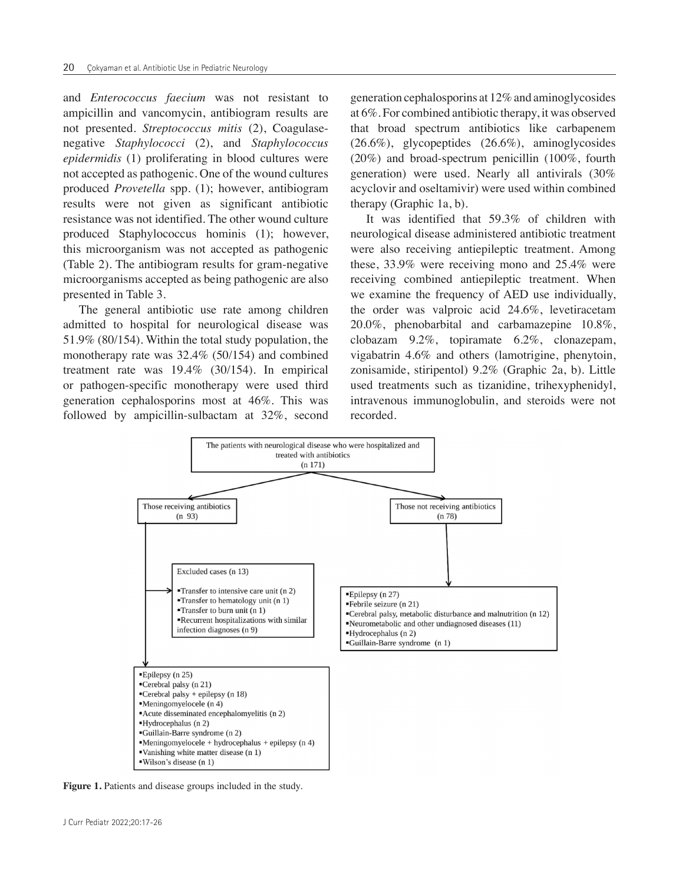and *Enterococcus faecium* was not resistant to ampicillin and vancomycin, antibiogram results are not presented. *Streptococcus mitis* (2), Coagulasenegative *Staphylococci* (2), and *Staphylococcus epidermidis* (1) proliferating in blood cultures were not accepted as pathogenic. One of the wound cultures produced *Provetella* spp. (1); however, antibiogram results were not given as significant antibiotic resistance was not identified. The other wound culture produced Staphylococcus hominis (1); however, this microorganism was not accepted as pathogenic (Table 2). The antibiogram results for gram-negative microorganisms accepted as being pathogenic are also presented in Table 3.

The general antibiotic use rate among children admitted to hospital for neurological disease was 51.9% (80/154). Within the total study population, the monotherapy rate was 32.4% (50/154) and combined treatment rate was 19.4% (30/154). In empirical or pathogen-specific monotherapy were used third generation cephalosporins most at 46%. This was followed by ampicillin-sulbactam at 32%, second

generation cephalosporins at 12% and aminoglycosides at 6%. For combined antibiotic therapy, it was observed that broad spectrum antibiotics like carbapenem (26.6%), glycopeptides (26.6%), aminoglycosides (20%) and broad-spectrum penicillin (100%, fourth generation) were used. Nearly all antivirals (30% acyclovir and oseltamivir) were used within combined therapy (Graphic 1a, b).

It was identified that 59.3% of children with neurological disease administered antibiotic treatment were also receiving antiepileptic treatment. Among these, 33.9% were receiving mono and 25.4% were receiving combined antiepileptic treatment. When we examine the frequency of AED use individually, the order was valproic acid 24.6%, levetiracetam 20.0%, phenobarbital and carbamazepine 10.8%, clobazam 9.2%, topiramate 6.2%, clonazepam, vigabatrin 4.6% and others (lamotrigine, phenytoin, zonisamide, stiripentol) 9.2% (Graphic 2a, b). Little used treatments such as tizanidine, trihexyphenidyl, intravenous immunoglobulin, and steroids were not recorded.



**Figure 1.** Patients and disease groups included in the study.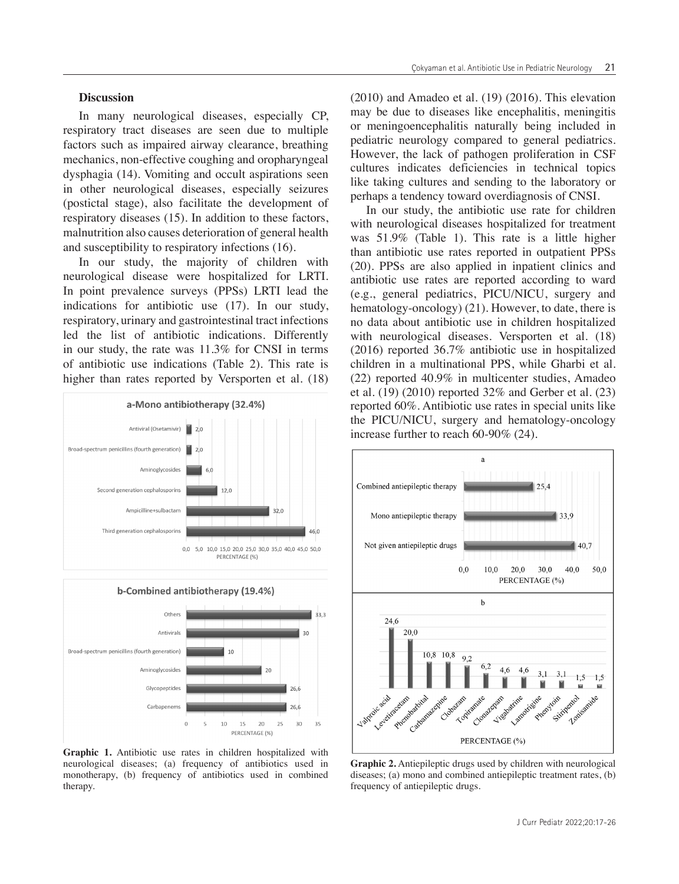## **Discussion**

In many neurological diseases, especially CP, respiratory tract diseases are seen due to multiple factors such as impaired airway clearance, breathing mechanics, non-effective coughing and oropharyngeal dysphagia (14). Vomiting and occult aspirations seen in other neurological diseases, especially seizures (postictal stage), also facilitate the development of respiratory diseases (15). In addition to these factors, malnutrition also causes deterioration of general health and susceptibility to respiratory infections (16).

In our study, the majority of children with neurological disease were hospitalized for LRTI. In point prevalence surveys (PPSs) LRTI lead the indications for antibiotic use (17). In our study, respiratory, urinary and gastrointestinal tract infections led the list of antibiotic indications. Differently in our study, the rate was 11.3% for CNSI in terms of antibiotic use indications (Table 2). This rate is higher than rates reported by Versporten et al. (18)



b-Combined antibiotherapy (19.4%)



**Graphic 1.** Antibiotic use rates in children hospitalized with neurological diseases; (a) frequency of antibiotics used in monotherapy, (b) frequency of antibiotics used in combined therapy.

(2010) and Amadeo et al. (19) (2016). This elevation may be due to diseases like encephalitis, meningitis or meningoencephalitis naturally being included in pediatric neurology compared to general pediatrics. However, the lack of pathogen proliferation in CSF cultures indicates deficiencies in technical topics like taking cultures and sending to the laboratory or perhaps a tendency toward overdiagnosis of CNSI.

In our study, the antibiotic use rate for children with neurological diseases hospitalized for treatment was 51.9% (Table 1). This rate is a little higher than antibiotic use rates reported in outpatient PPSs (20). PPSs are also applied in inpatient clinics and antibiotic use rates are reported according to ward (e.g., general pediatrics, PICU/NICU, surgery and hematology-oncology) (21). However, to date, there is no data about antibiotic use in children hospitalized with neurological diseases. Versporten et al. (18) (2016) reported 36.7% antibiotic use in hospitalized children in a multinational PPS, while Gharbi et al. (22) reported 40.9% in multicenter studies, Amadeo et al. (19) (2010) reported 32% and Gerber et al. (23) reported 60%. Antibiotic use rates in special units like the PICU/NICU, surgery and hematology-oncology increase further to reach 60-90% (24).



**Graphic 2.** Antiepileptic drugs used by children with neurological diseases; (a) mono and combined antiepileptic treatment rates, (b) frequency of antiepileptic drugs.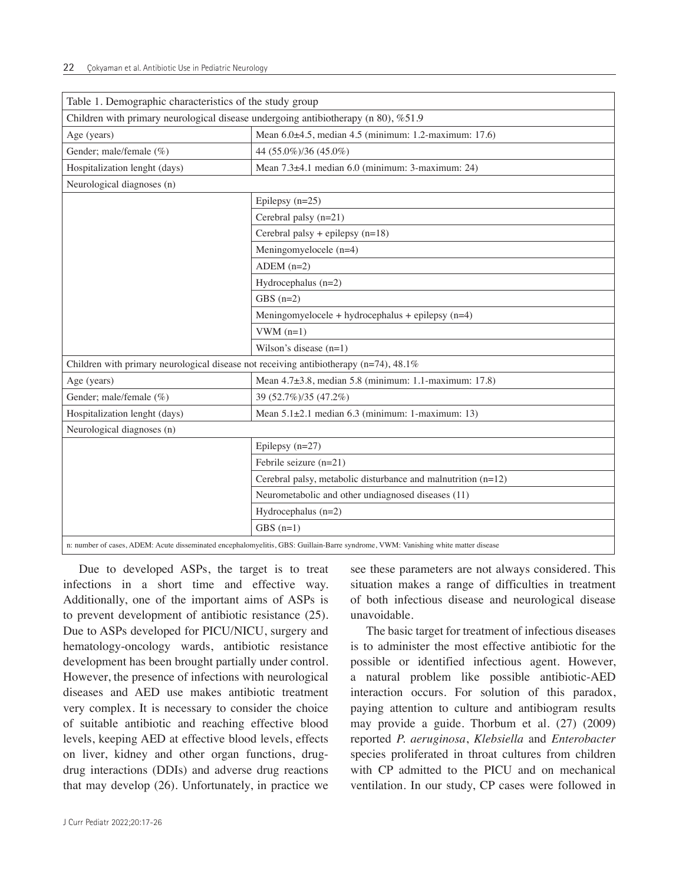| Table 1. Demographic characteristics of the study group                                                                           |                                                                 |  |  |  |  |  |  |  |
|-----------------------------------------------------------------------------------------------------------------------------------|-----------------------------------------------------------------|--|--|--|--|--|--|--|
| Children with primary neurological disease undergoing antibiotherapy (n 80), %51.9                                                |                                                                 |  |  |  |  |  |  |  |
| Age (years)                                                                                                                       | Mean 6.0±4.5, median 4.5 (minimum: 1.2-maximum: 17.6)           |  |  |  |  |  |  |  |
| Gender; male/female (%)                                                                                                           | 44 (55.0%)/36 (45.0%)                                           |  |  |  |  |  |  |  |
| Hospitalization lenght (days)                                                                                                     | Mean 7.3±4.1 median 6.0 (minimum: 3-maximum: 24)                |  |  |  |  |  |  |  |
| Neurological diagnoses (n)                                                                                                        |                                                                 |  |  |  |  |  |  |  |
|                                                                                                                                   | Epilepsy $(n=25)$                                               |  |  |  |  |  |  |  |
|                                                                                                                                   | Cerebral palsy (n=21)                                           |  |  |  |  |  |  |  |
|                                                                                                                                   | Cerebral palsy + epilepsy $(n=18)$                              |  |  |  |  |  |  |  |
|                                                                                                                                   | Meningomyelocele (n=4)                                          |  |  |  |  |  |  |  |
|                                                                                                                                   | ADEM $(n=2)$                                                    |  |  |  |  |  |  |  |
|                                                                                                                                   | Hydrocephalus $(n=2)$                                           |  |  |  |  |  |  |  |
|                                                                                                                                   | GBS $(n=2)$                                                     |  |  |  |  |  |  |  |
|                                                                                                                                   | Meningomyelocele + hydrocephalus + epilepsy $(n=4)$             |  |  |  |  |  |  |  |
|                                                                                                                                   | $VWM (n=1)$                                                     |  |  |  |  |  |  |  |
|                                                                                                                                   | Wilson's disease $(n=1)$                                        |  |  |  |  |  |  |  |
| Children with primary neurological disease not receiving antibiotherapy ( $n=74$ ), 48.1%                                         |                                                                 |  |  |  |  |  |  |  |
| Age (years)                                                                                                                       | Mean 4.7±3.8, median 5.8 (minimum: 1.1-maximum: 17.8)           |  |  |  |  |  |  |  |
| Gender; male/female (%)                                                                                                           | 39 (52.7%)/35 (47.2%)                                           |  |  |  |  |  |  |  |
| Hospitalization lenght (days)                                                                                                     | Mean $5.1\pm2.1$ median 6.3 (minimum: 1-maximum: 13)            |  |  |  |  |  |  |  |
| Neurological diagnoses (n)                                                                                                        |                                                                 |  |  |  |  |  |  |  |
|                                                                                                                                   | Epilepsy $(n=27)$                                               |  |  |  |  |  |  |  |
|                                                                                                                                   | Febrile seizure $(n=21)$                                        |  |  |  |  |  |  |  |
|                                                                                                                                   | Cerebral palsy, metabolic disturbance and malnutrition $(n=12)$ |  |  |  |  |  |  |  |
|                                                                                                                                   | Neurometabolic and other undiagnosed diseases (11)              |  |  |  |  |  |  |  |
|                                                                                                                                   | Hydrocephalus $(n=2)$                                           |  |  |  |  |  |  |  |
|                                                                                                                                   | $GBS(n=1)$                                                      |  |  |  |  |  |  |  |
| n: number of cases, ADEM: Acute disseminated encephalomyelitis, GBS: Guillain-Barre syndrome, VWM: Vanishing white matter disease |                                                                 |  |  |  |  |  |  |  |

Due to developed ASPs, the target is to treat infections in a short time and effective way. Additionally, one of the important aims of ASPs is to prevent development of antibiotic resistance (25). Due to ASPs developed for PICU/NICU, surgery and hematology-oncology wards, antibiotic resistance development has been brought partially under control. However, the presence of infections with neurological diseases and AED use makes antibiotic treatment very complex. It is necessary to consider the choice of suitable antibiotic and reaching effective blood levels, keeping AED at effective blood levels, effects on liver, kidney and other organ functions, drugdrug interactions (DDIs) and adverse drug reactions that may develop (26). Unfortunately, in practice we

see these parameters are not always considered. This situation makes a range of difficulties in treatment of both infectious disease and neurological disease unavoidable.

The basic target for treatment of infectious diseases is to administer the most effective antibiotic for the possible or identified infectious agent. However, a natural problem like possible antibiotic-AED interaction occurs. For solution of this paradox, paying attention to culture and antibiogram results may provide a guide. Thorbum et al. (27) (2009) reported *P. aeruginosa*, *Klebsiella* and *Enterobacter* species proliferated in throat cultures from children with CP admitted to the PICU and on mechanical ventilation. In our study, CP cases were followed in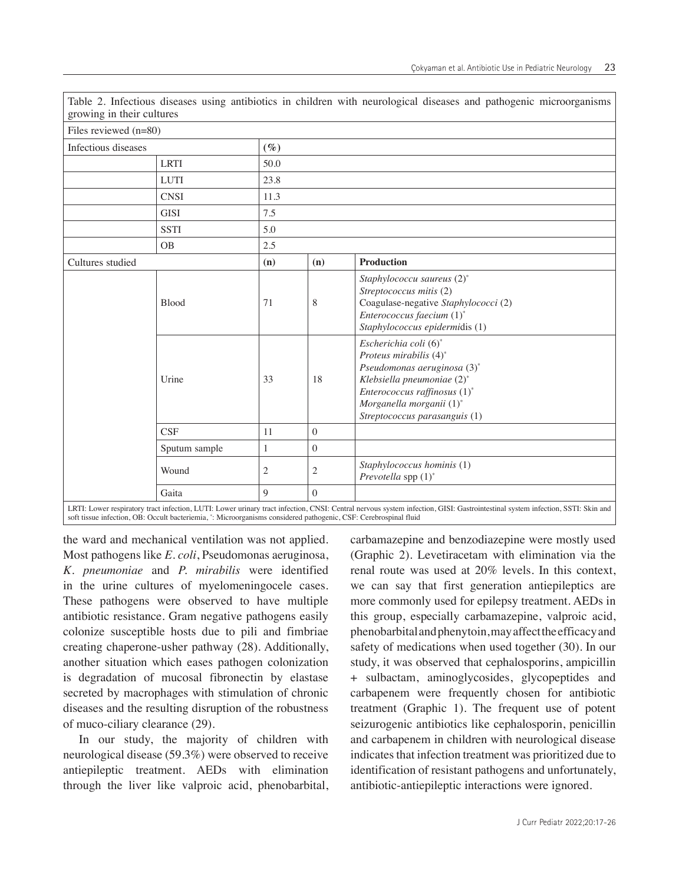| growing in their cultures |              |                |              |                                                                                                                                                                                                           |  |  |  |  |  |  |  |
|---------------------------|--------------|----------------|--------------|-----------------------------------------------------------------------------------------------------------------------------------------------------------------------------------------------------------|--|--|--|--|--|--|--|
| Files reviewed $(n=80)$   |              |                |              |                                                                                                                                                                                                           |  |  |  |  |  |  |  |
| Infectious diseases       |              | $(\%)$         |              |                                                                                                                                                                                                           |  |  |  |  |  |  |  |
|                           | <b>LRTI</b>  | 50.0           |              |                                                                                                                                                                                                           |  |  |  |  |  |  |  |
|                           | <b>LUTI</b>  | 23.8           |              |                                                                                                                                                                                                           |  |  |  |  |  |  |  |
|                           | <b>CNSI</b>  | 11.3           |              |                                                                                                                                                                                                           |  |  |  |  |  |  |  |
|                           | <b>GISI</b>  | 7.5            |              |                                                                                                                                                                                                           |  |  |  |  |  |  |  |
|                           | <b>SSTI</b>  | 5.0            |              |                                                                                                                                                                                                           |  |  |  |  |  |  |  |
|                           | <b>OB</b>    | 2.5            |              |                                                                                                                                                                                                           |  |  |  |  |  |  |  |
| Cultures studied          |              | (n)            | (n)          | <b>Production</b>                                                                                                                                                                                         |  |  |  |  |  |  |  |
|                           | <b>Blood</b> | 71             | 8            | Staphylococcu saureus (2)*<br>Streptococcus mitis (2)<br>Coagulase-negative Staphylococci (2)<br>Enterococcus faecium (1)*<br>Staphylococcus epidermidis (1)                                              |  |  |  |  |  |  |  |
|                           | Urine        | 33             | 18           | Escherichia coli (6)*<br>Proteus mirabilis (4)*<br>Pseudomonas aeruginosa (3)*<br>Klebsiella pneumoniae (2)*<br>Enterococcus raffinosus (1)*<br>Morganella morganii (1)*<br>Streptococcus parasanguis (1) |  |  |  |  |  |  |  |
|                           | 11           | $\mathbf{0}$   |              |                                                                                                                                                                                                           |  |  |  |  |  |  |  |
|                           | $\mathbf{1}$ | $\mathbf{0}$   |              |                                                                                                                                                                                                           |  |  |  |  |  |  |  |
|                           | Wound        | $\overline{c}$ | $\mathbf{2}$ | Staphylococcus hominis (1)<br>Prevotella spp (1)*                                                                                                                                                         |  |  |  |  |  |  |  |
|                           | Gaita        | 9              | $\theta$     |                                                                                                                                                                                                           |  |  |  |  |  |  |  |

Table 2. Infectious diseases using antibiotics in children with neurological diseases and pathogenic microorganisms

LRTI: Lower respiratory tract infection, LUTI: Lower urinary tract infection, CNSI: Central nervous system infection, GISI: Gastrointestinal system infection, SSTI: Skin and<br>soft tissue infection, OB: Occult bacteriemia, \*

the ward and mechanical ventilation was not applied. Most pathogens like *E. coli*, Pseudomonas aeruginosa, *K. pneumoniae* and *P. mirabilis* were identified in the urine cultures of myelomeningocele cases. These pathogens were observed to have multiple antibiotic resistance. Gram negative pathogens easily colonize susceptible hosts due to pili and fimbriae creating chaperone-usher pathway (28). Additionally, another situation which eases pathogen colonization is degradation of mucosal fibronectin by elastase secreted by macrophages with stimulation of chronic diseases and the resulting disruption of the robustness of muco-ciliary clearance (29).

In our study, the majority of children with neurological disease (59.3%) were observed to receive antiepileptic treatment. AEDs with elimination through the liver like valproic acid, phenobarbital,

carbamazepine and benzodiazepine were mostly used (Graphic 2). Levetiracetam with elimination via the renal route was used at 20% levels. In this context, we can say that first generation antiepileptics are more commonly used for epilepsy treatment. AEDs in this group, especially carbamazepine, valproic acid, phenobarbital and phenytoin, may affect the efficacy and safety of medications when used together (30). In our study, it was observed that cephalosporins, ampicillin + sulbactam, aminoglycosides, glycopeptides and carbapenem were frequently chosen for antibiotic treatment (Graphic 1). The frequent use of potent seizurogenic antibiotics like cephalosporin, penicillin and carbapenem in children with neurological disease indicates that infection treatment was prioritized due to identification of resistant pathogens and unfortunately, antibiotic-antiepileptic interactions were ignored.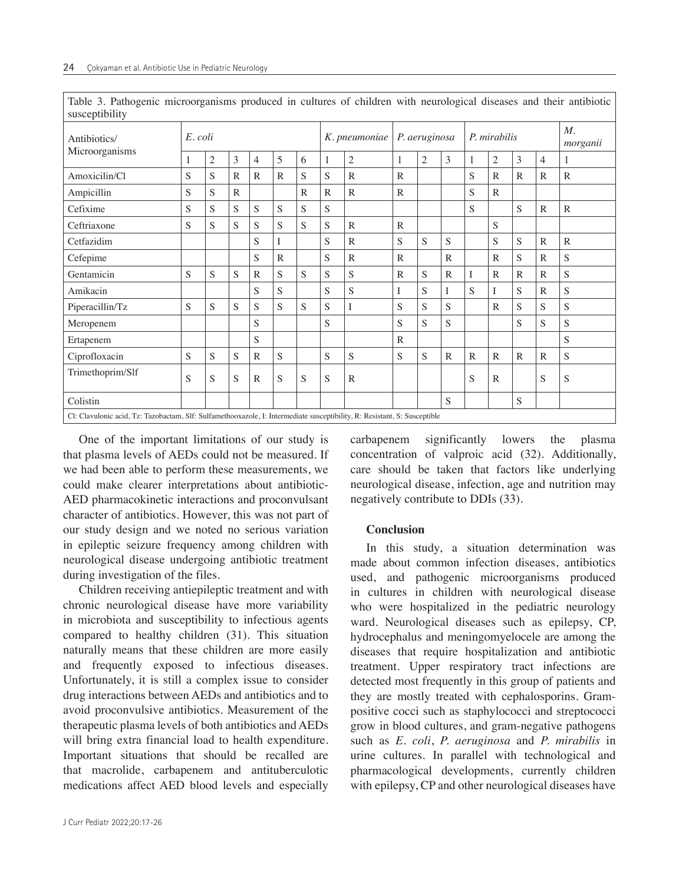| susceptibility                                                                                                            |         |   |              |                |              |               |              |                |              |                |              |              |                |              |                         |                |
|---------------------------------------------------------------------------------------------------------------------------|---------|---|--------------|----------------|--------------|---------------|--------------|----------------|--------------|----------------|--------------|--------------|----------------|--------------|-------------------------|----------------|
| Antibiotics/                                                                                                              | E. coli |   |              |                |              | K. pneumoniae |              | P. aeruginosa  |              |                | P. mirabilis |              |                |              | $M_{\cdot}$<br>morganii |                |
| Microorganisms                                                                                                            | 1       | 2 | 3            | $\overline{4}$ | 5            | 6             | 1            | $\overline{c}$ | 1            | $\overline{2}$ | 3            | $\mathbf{1}$ | $\mathfrak{2}$ | 3            | $\overline{4}$          | 1              |
| Amoxicilin/Cl                                                                                                             | S       | S | $\mathbb{R}$ | $\mathbb{R}$   | $\mathbb{R}$ | ${\bf S}$     | S            | $\mathbb{R}$   | $\mathbb{R}$ |                |              | S            | $\mathbb{R}$   | $\mathbb{R}$ | $\mathbb{R}$            | $\mathbb{R}$   |
| Ampicillin                                                                                                                | S       | S | $\mathbb{R}$ |                |              | $\mathbb{R}$  | $\mathbb{R}$ | $\mathbb{R}$   | $\mathbb{R}$ |                |              | S            | $\mathbb{R}$   |              |                         |                |
| Cefixime                                                                                                                  | S       | S | S            | S              | S            | S             | S            |                |              |                |              | S            |                | S            | $\mathbb{R}$            | $\mathbb{R}$   |
| Ceftriaxone                                                                                                               | S       | S | S            | S              | S            | S             | S            | $\mathbb{R}$   | $\mathbb{R}$ |                |              |              | S              |              |                         |                |
| Cetfazidim                                                                                                                |         |   |              | S              | I            |               | S            | $\mathbb{R}$   | S            | S              | S            |              | S              | S            | ${\bf R}$               | $\mathbb{R}$   |
| Cefepime                                                                                                                  |         |   |              | S              | $\mathbb{R}$ |               | S            | $\mathbb{R}$   | $\mathbb{R}$ |                | $\mathbb{R}$ |              | $\mathbb{R}$   | S            | $\mathbb{R}$            | ${\bf S}$      |
| Gentamicin                                                                                                                | S       | S | S            | $\mathbb{R}$   | S            | S             | S            | S              | $\mathbb{R}$ | S              | $\mathbb{R}$ | I            | ${\bf R}$      | $\mathbb{R}$ | $\mathbb{R}$            | ${\bf S}$      |
| Amikacin                                                                                                                  |         |   |              | S              | S            |               | S            | S              | I            | S              | I            | S            | I              | S            | $\mathbb{R}$            | ${\bf S}$      |
| Piperacillin/Tz                                                                                                           | S       | S | S            | S              | S            | S             | S            | I              | S            | S              | S            |              | $\mathbb{R}$   | S            | S                       | ${\bf S}$      |
| Meropenem                                                                                                                 |         |   |              | S              |              |               | S            |                | S            | S              | S            |              |                | S            | S                       | ${\mathcal S}$ |
| Ertapenem                                                                                                                 |         |   |              | S              |              |               |              |                | $\mathbb{R}$ |                |              |              |                |              |                         | S              |
| Ciprofloxacin                                                                                                             | S       | S | S            | $\mathbb{R}$   | S            |               | S            | S              | S            | S              | $\mathbb{R}$ | $\mathbb{R}$ | $\mathbb{R}$   | $\mathbb{R}$ | $\mathbb{R}$            | ${\mathcal S}$ |
| Trimethoprim/Slf                                                                                                          | S       | S | S            | $\mathbb{R}$   | S            | S             | S            | $\mathbb{R}$   |              |                |              | S            | $\mathbb{R}$   |              | S                       | S              |
| Colistin                                                                                                                  |         |   |              |                |              |               |              |                |              |                | S            |              |                | S            |                         |                |
| Cl: Clavulonic acid, Tz: Tazobactam, Slf: Sulfamethooxazole, I: Intermediate susceptibility, R: Resistant, S: Susceptible |         |   |              |                |              |               |              |                |              |                |              |              |                |              |                         |                |

Table 3. Pathogenic microorganisms produced in cultures of children with neurological diseases and their antibiotic

One of the important limitations of our study is that plasma levels of AEDs could not be measured. If we had been able to perform these measurements, we could make clearer interpretations about antibiotic-AED pharmacokinetic interactions and proconvulsant character of antibiotics. However, this was not part of our study design and we noted no serious variation in epileptic seizure frequency among children with neurological disease undergoing antibiotic treatment during investigation of the files.

Children receiving antiepileptic treatment and with chronic neurological disease have more variability in microbiota and susceptibility to infectious agents compared to healthy children (31). This situation naturally means that these children are more easily and frequently exposed to infectious diseases. Unfortunately, it is still a complex issue to consider drug interactions between AEDs and antibiotics and to avoid proconvulsive antibiotics. Measurement of the therapeutic plasma levels of both antibiotics and AEDs will bring extra financial load to health expenditure. Important situations that should be recalled are that macrolide, carbapenem and antituberculotic medications affect AED blood levels and especially

J Curr Pediatr 2022;20:17-26

carbapenem significantly lowers the plasma concentration of valproic acid (32). Additionally, care should be taken that factors like underlying neurological disease, infection, age and nutrition may negatively contribute to DDIs (33).

## **Conclusion**

In this study, a situation determination was made about common infection diseases, antibiotics used, and pathogenic microorganisms produced in cultures in children with neurological disease who were hospitalized in the pediatric neurology ward. Neurological diseases such as epilepsy, CP, hydrocephalus and meningomyelocele are among the diseases that require hospitalization and antibiotic treatment. Upper respiratory tract infections are detected most frequently in this group of patients and they are mostly treated with cephalosporins. Grampositive cocci such as staphylococci and streptococci grow in blood cultures, and gram-negative pathogens such as *E. coli*, *P. aeruginosa* and *P. mirabilis* in urine cultures. In parallel with technological and pharmacological developments, currently children with epilepsy, CP and other neurological diseases have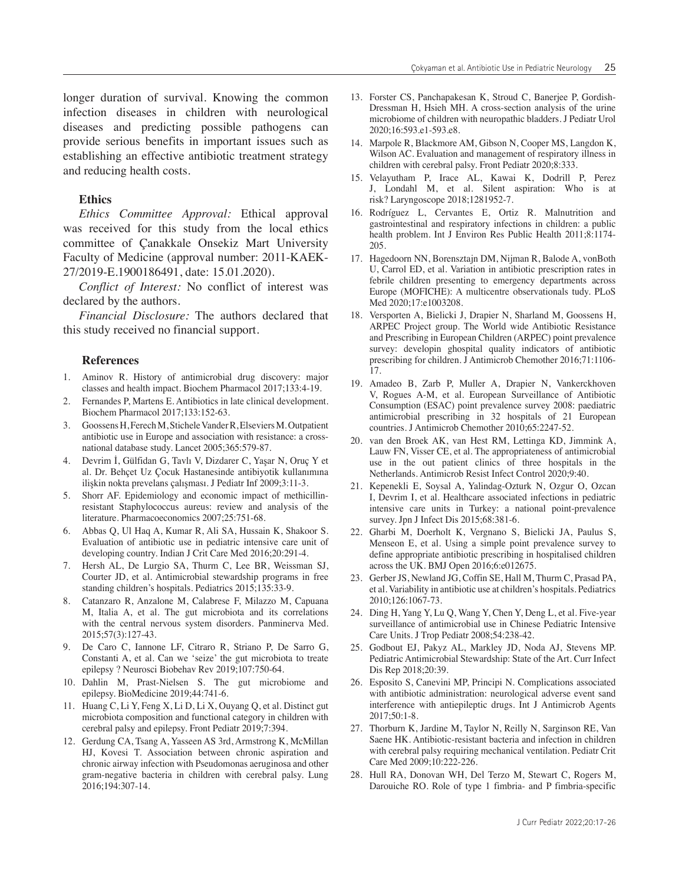longer duration of survival. Knowing the common infection diseases in children with neurological diseases and predicting possible pathogens can provide serious benefits in important issues such as establishing an effective antibiotic treatment strategy and reducing health costs.

# **Ethics**

*Ethics Committee Approval:* Ethical approval was received for this study from the local ethics committee of Çanakkale Onsekiz Mart University Faculty of Medicine (approval number: 2011-KAEK-27/2019-E.1900186491, date: 15.01.2020).

*Conflict of Interest:* No conflict of interest was declared by the authors.

*Financial Disclosure:* The authors declared that this study received no financial support.

#### **References**

- 1. Aminov R. History of antimicrobial drug discovery: major classes and health impact. Biochem Pharmacol 2017;133:4-19.
- 2. Fernandes P, Martens E. Antibiotics in late clinical development. Biochem Pharmacol 2017;133:152-63.
- 3. Goossens H, Ferech M, Stichele Vander R, Elseviers M. Outpatient antibiotic use in Europe and association with resistance: a crossnational database study. Lancet 2005;365:579-87.
- 4. Devrim İ, Gülfidan G, Tavlı V, Dizdarer C, Yaşar N, Oruç Y et al. Dr. Behçet Uz Çocuk Hastanesinde antibiyotik kullanımına ilişkin nokta prevelans çalışması. J Pediatr Inf 2009;3:11-3.
- 5. Shorr AF. Epidemiology and economic impact of methicillinresistant Staphylococcus aureus: review and analysis of the literature. Pharmacoeconomics 2007;25:751-68.
- 6. Abbas Q, Ul Haq A, Kumar R, Ali SA, Hussain K, Shakoor S. Evaluation of antibiotic use in pediatric intensive care unit of developing country. Indian J Crit Care Med 2016;20:291-4.
- 7. Hersh AL, De Lurgio SA, Thurm C, Lee BR, Weissman SJ, Courter JD, et al. Antimicrobial stewardship programs in free standing children's hospitals. Pediatrics 2015;135:33-9.
- 8. Catanzaro R, Anzalone M, Calabrese F, Milazzo M, Capuana M, Italia A, et al. The gut microbiota and its correlations with the central nervous system disorders. Panminerva Med. 2015;57(3):127-43.
- 9. De Caro C, Iannone LF, Citraro R, Striano P, De Sarro G, Constanti A, et al. Can we 'seize' the gut microbiota to treate epilepsy ? Neurosci Biobehav Rev 2019;107:750-64.
- 10. Dahlin M, Prast-Nielsen S. The gut microbiome and epilepsy. BioMedicine 2019;44:741-6.
- 11. Huang C, Li Y, Feng X, Li D, Li X, Ouyang Q, et al. Distinct gut microbiota composition and functional category in children with cerebral palsy and epilepsy. Front Pediatr 2019;7:394.
- 12. Gerdung CA, Tsang A, Yasseen AS 3rd, Armstrong K, McMillan HJ, Kovesi T. Association between chronic aspiration and chronic airway infection with Pseudomonas aeruginosa and other gram-negative bacteria in children with cerebral palsy. Lung 2016;194:307-14.
- 13. Forster CS, Panchapakesan K, Stroud C, Banerjee P, Gordish-Dressman H, Hsieh MH. A cross-section analysis of the urine microbiome of children with neuropathic bladders. J Pediatr Urol 2020;16:593.e1-593.e8.
- 14. Marpole R, Blackmore AM, Gibson N, Cooper MS, Langdon K, Wilson AC. Evaluation and management of respiratory illness in children with cerebral palsy. Front Pediatr 2020;8:333.
- 15. Velayutham P, Irace AL, Kawai K, Dodrill P, Perez J, Londahl M, et al. Silent aspiration: Who is at risk? Laryngoscope 2018;1281952-7.
- 16. Rodríguez L, Cervantes E, Ortiz R. Malnutrition and gastrointestinal and respiratory infections in children: a public health problem. Int J Environ Res Public Health 2011;8:1174- 205.
- 17. Hagedoorn NN, Borensztajn DM, Nijman R, Balode A, vonBoth U, Carrol ED, et al. Variation in antibiotic prescription rates in febrile children presenting to emergency departments across Europe (MOFICHE): A multicentre observationals tudy. PLoS Med 2020;17:e1003208.
- 18. Versporten A, Bielicki J, Drapier N, Sharland M, Goossens H, ARPEC Project group. The World wide Antibiotic Resistance and Prescribing in European Children (ARPEC) point prevalence survey: developin ghospital quality indicators of antibiotic prescribing for children. J Antimicrob Chemother 2016;71:1106- 17.
- 19. Amadeo B, Zarb P, Muller A, Drapier N, Vankerckhoven V, Rogues A-M, et al. European Surveillance of Antibiotic Consumption (ESAC) point prevalence survey 2008: paediatric antimicrobial prescribing in 32 hospitals of 21 European countries. J Antimicrob Chemother 2010;65:2247-52.
- 20. van den Broek AK, van Hest RM, Lettinga KD, Jimmink A, Lauw FN, Visser CE, et al. The appropriateness of antimicrobial use in the out patient clinics of three hospitals in the Netherlands. Antimicrob Resist Infect Control 2020;9:40.
- 21. Kepenekli E, Soysal A, Yalindag-Ozturk N, Ozgur O, Ozcan I, Devrim I, et al. Healthcare associated infections in pediatric intensive care units in Turkey: a national point-prevalence survey. Jpn J Infect Dis 2015;68:381-6.
- 22. Gharbi M, Doerholt K, Vergnano S, Bielicki JA, Paulus S, Menseon E, et al. Using a simple point prevalence survey to define appropriate antibiotic prescribing in hospitalised children across the UK. BMJ Open 2016;6:e012675.
- 23. Gerber JS, Newland JG, Coffin SE, Hall M, Thurm C, Prasad PA, et al. Variability in antibiotic use at children's hospitals. Pediatrics 2010;126:1067-73.
- 24. Ding H, Yang Y, Lu Q, Wang Y, Chen Y, Deng L, et al. Five-year surveillance of antimicrobial use in Chinese Pediatric Intensive Care Units. J Trop Pediatr 2008;54:238-42.
- 25. Godbout EJ, Pakyz AL, Markley JD, Noda AJ, Stevens MP. Pediatric Antimicrobial Stewardship: State of the Art. Curr Infect Dis Rep 2018;20:39.
- 26. Esposito S, Canevini MP, Principi N. Complications associated with antibiotic administration: neurological adverse event sand interference with antiepileptic drugs. Int J Antimicrob Agents 2017;50:1-8.
- 27. Thorburn K, Jardine M, Taylor N, Reilly N, Sarginson RE, Van Saene HK. Antibiotic-resistant bacteria and infection in children with cerebral palsy requiring mechanical ventilation. Pediatr Crit Care Med 2009;10:222-226.
- 28. Hull RA, Donovan WH, Del Terzo M, Stewart C, Rogers M, Darouiche RO. Role of type 1 fimbria- and P fimbria-specific